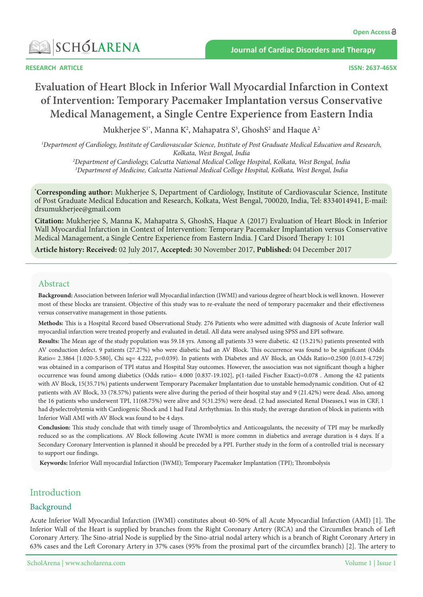

**Journal of Cardiac Disorders and Therapy** 

**RESEARCH ARTICLE** 

# **Evaluation of Heart Block in Inferior Wall Myocardial Infarction in Context** of Intervention: Temporary Pacemaker Implantation versus Conservative **Medical Management, a Single Centre Experience from Eastern India**

Mukherjee S1\*, Manna K<sup>2</sup>, Mahapatra S<sup>3</sup>, GhoshS<sup>2</sup> and Haque A<sup>2</sup>

<sup>1</sup>Department of Cardiology, Institute of Cardiovascular Science, Institute of Post Graduate Medical Education and Research, *2 India ,Bengal West ,Kolkata India ,Bengal West ,Kolkata ,Hospital College Medical National Calcutta ,Cardiology of Department*

<sup>3</sup>Department of Medicine, Calcutta National Medical College Hospital, Kolkata, West Bengal, India

\*Corresponding author: Mukherjee S, Department of Cardiology, Institute of Cardiovascular Science, Institute of Post Graduate Medical Education and Research, Kolkata, West Bengal, 700020, India, Tel: 8334014941, E-mail: drsumukherjee@gmail.com

Citation: Mukherjee S, Manna K, Mahapatra S, GhoshS, Haque A (2017) Evaluation of Heart Block in Inferior Wall Myocardial Infarction in Context of Intervention: Temporary Pacemaker Implantation versus Conservative Medical Management, a Single Centre Experience from Eastern India. J Card Disord Therapy 1: 101

Article history: Received: 02 July 2017, Accepted: 30 November 2017, Published: 04 December 2017

# Abstract

Background: Association between Inferior wall Myocardial infarction (IWMI) and various degree of heart block is well known. However most of these blocks are transient. Objective of this study was to re-evaluate the need of temporary pacemaker and their effectiveness versus conservative management in those patients.

Methods: This is a Hospital Record based Observational Study. 276 Patients who were admitted with diagnosis of Acute Inferior wall myocardial infarction were treated properly and evaluated in detail. All data were analysed using SPSS and EPI software.

Results: The Mean age of the study population was 59.18 yrs. Among all patients 33 were diabetic. 42 (15.21%) patients presented with AV conduction defect. 9 patients (27.27%) who were diabetic had an AV Block. This occurrence was found to be significant (Odds Ratio = 2.3864 [1.020-5.580], Chi sq = 4.222, p = 0.039). In patients with Diabetes and AV Block, an Odds Ratio = 0.2500 [0.013-4.729] was obtained in a comparison of TPI status and Hospital Stay outcomes. However, the association was not significant though a higher occurrence was found among diabetics (Odds ratio= 4.000 [0.837-19.102], p(1-tailed Fischer Exact)=0.078 . Among the 42 patients with AV Block, 15(35.71%) patients underwent Temporary Pacemaker Implantation due to unstable hemodynamic condition. Out of 42 patients with AV Block, 33 (78.57%) patients were alive during the period of their hospital stay and 9 (21.42%) were dead. Also, among the 16 patients who underwent TPI, 11(68.75%) were alive and 5(31.25%) were dead. (2 had associated Renal Diseases,1 was in CRF, 1 had dyselectrolytemia with Cardiogenic Shock and 1 had Fatal Arrhythmias. In this study, the average duration of block in patients with Inferior Wall AMI with AV Block was found to be 4 days.

**Conclusion:** This study conclude that with timely usage of Thrombolytics and Anticoagulants, the necessity of TPI may be markedly reduced so as the complications. AV Block following Acute IWMI is more commn in diabetics and average duration is 4 days. If a Secondary Coronary Intervention is planned it should be preceded by a PPI. Further study in the form of a controlled trial is necessary to support our findings.

Keywords: Inferior Wall myocardial Infarction (IWMI); Temporary Pacemaker Implantation (TPI); Thrombolysis

# Introduction

# Background

Acute Inferior Wall Myocardial Infarction (IWMI) constitutes about 40-50% of all Acute Myocardial Infarction (AMI) [1]. The Inferior Wall of the Heart is supplied by branches from the Right Coronary Artery (RCA) and the Circumflex branch of Left Coronary Artery. The Sino-atrial Node is supplied by the Sino-atrial nodal artery which is a branch of Right Coronary Artery in 63% cases and the Left Coronary Artery in 37% cases (95% from the proximal part of the circumflex branch) [2]. The artery to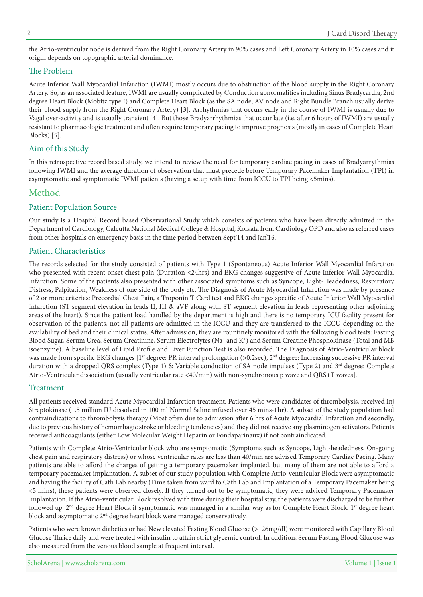the Atrio-ventricular node is derived from the Right Coronary Artery in 90% cases and Left Coronary Artery in 10% cases and it origin depends on topographic arterial dominance.

# The Problem

Acute Inferior Wall Myocardial Infarction (IWMI) mostly occurs due to obstruction of the blood supply in the Right Coronary Artery. So, as an associated feature, IWMI are usually complicated by Conduction abnormalities including Sinus Bradycardia, 2nd degree Heart Block (Mobitz type I) and Complete Heart Block (as the SA node, AV node and Right Bundle Branch usually derive their blood supply from the Right Coronary Artery) [3]. Arrhythmias that occurs early in the course of IWMI is usually due to Vagal over-activity and is usually transient [4]. But those Bradyarrhythmias that occur late (i.e. after 6 hours of IWMI) are usually resistant to pharmacologic treatment and often require temporary pacing to improve prognosis (mostly in cases of Complete Heart Blocks) [5].

# Aim of this Study

In this retrospective record based study, we intend to review the need for temporary cardiac pacing in cases of Bradyarrythmias following IWMI and the average duration of observation that must precede before Temporary Pacemaker Implantation (TPI) in asymptomatic and symptomatic IWMI patients (having a setup with time from ICCU to TPI being <5mins).

# Method

# Patient Population Source

Our study is a Hospital Record based Observational Study which consists of patients who have been directly admitted in the Department of Cardiology, Calcutta National Medical College & Hospital, Kolkata from Cardiology OPD and also as referred cases from other hospitals on emergency basis in the time period between Sept'14 and Jan'16.

# Patient Characteristics

The records selected for the study consisted of patients with Type 1 (Spontaneous) Acute Inferior Wall Myocardial Infarction who presented with recent onset chest pain (Duration <24hrs) and EKG changes suggestive of Acute Inferior Wall Myocardial Infarction. Some of the patients also presented with other associated symptoms such as Syncope, Light-Headedness, Respiratory Distress, Palpitation, Weakness of one side of the body etc. The Diagnosis of Acute Myocardial Infarction was made by presence of 2 or more criterias: Precordial Chest Pain, a Troponin T Card test and EKG changes specific of Acute Inferior Wall Myocardial Infarction (ST segment elevation in leads II, III & aVF along with ST segment elevation in leads representing other adjoining areas of the heart). Since the patient load handled by the department is high and there is no temporary ICU facility present for observation of the patients, not all patients are admitted in the ICCU and they are transferred to the ICCU depending on the availability of bed and their clinical status. After admission, they are rountinely monitored with the following blood tests: Fasting Blood Sugar, Serum Urea, Serum Creatinine, Serum Electrolytes (Na<sup>+</sup> and K<sup>+</sup>) and Serum Creatine Phosphokinase (Total and MB isoenzyme). A baseline level of Lipid Profile and Liver Function Test is also recorded. The Diagnosis of Atrio-Ventricular block was made from specific EKG changes [1<sup>st</sup> degree: PR interval prolongation  $(>0.2$ sec), 2<sup>nd</sup> degree: Increasing successive PR interval duration with a dropped QRS complex (Type 1) & Variable conduction of SA node impulses (Type 2) and 3<sup>rd</sup> degree: Complete Atrio-Ventricular dissociation (usually ventricular rate <40/min) with non-synchronous p wave and QRS+T waves].

#### Treatment

All patients received standard Acute Myocardial Infarction treatment. Patients who were candidates of thrombolysis, received Inj Streptokinase (1.5 million IU dissolved in 100 ml Normal Saline infused over 45 mins-1hr). A subset of the study population had contraindications to thrombolysis therapy (Most often due to admission after 6 hrs of Acute Myocardial Infarction and secondly, due to previous history of hemorrhagic stroke or bleeding tendencies) and they did not receive any plasminogen activators. Patients received anticoagulants (either Low Molecular Weight Heparin or Fondaparinaux) if not contraindicated.

Patients with Complete Atrio-Ventricular block who are symptomatic (Symptoms such as Syncope, Light-headedness, On-going chest pain and respiratory distress) or whose ventricular rates are less than 40/min are advised Temporary Cardiac Pacing. Many patients are able to afford the charges of getting a temporary pacemaker implanted, but many of them are not able to afford a temporary pacemaker implantation. A subset of our study population with Complete Atrio-ventricular Block were asymptomatic and having the facility of Cath Lab nearby (Time taken from ward to Cath Lab and Implantation of a Temporary Pacemaker being <5 mins), these patients were observed closely. If they turned out to be symptomatic, they were adviced Temporary Pacemaker Implantation. If the Atrio-ventricular Block resolved with time during their hospital stay, the patients were discharged to be further followed up. 2<sup>nd</sup> degree Heart Block if symptomatic was managed in a similar way as for Complete Heart Block. 1<sup>st</sup> degree heart block and asymptomatic  $2<sup>nd</sup>$  degree heart block were managed conservatively.

Patients who were known diabetics or had New elevated Fasting Blood Glucose (>126mg/dl) were monitored with Capillary Blood Glucose Thrice daily and were treated with insulin to attain strict glycemic control. In addition, Serum Fasting Blood Glucose was also measured from the venous blood sample at frequent interval.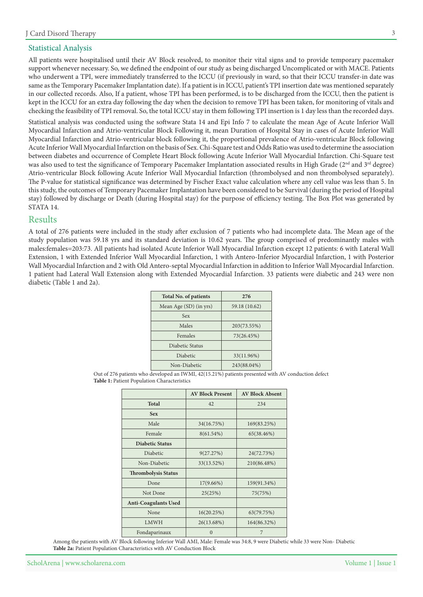# **Statistical Analysis**

All patients were hospitalised until their AV Block resolved, to monitor their vital signs and to provide temporary pacemaker support whenever necessary. So, we defined the endpoint of our study as being discharged Uncomplicated or with MACE. Patients who underwent a TPI, were immediately transferred to the ICCU (if previously in ward, so that their ICCU transfer-in date was same as the Temporary Pacemaker Implantation date). If a patient is in ICCU, patient's TPI insertion date was mentioned separately in our collected records. Also, If a patient, whose TPI has been performed, is to be discharged from the ICCU, then the patient is kept in the ICCU for an extra day following the day when the decision to remove TPI has been taken, for monitoring of vitals and checking the feasibility of TPI removal. So, the total ICCU stay in them following TPI insertion is 1 day less than the recorded days.

Statistical analysis was conducted using the software Stata 14 and Epi Info 7 to calculate the mean Age of Acute Inferior Wall Myocardial Infarction and Atrio-ventricular Block Following it, mean Duration of Hospital Stay in cases of Acute Inferior Wall Myocardial Infarction and Atrio-ventricular block following it, the proportional prevalence of Atrio-ventricular Block following Acute Inferior Wall Myocardial Infarction on the basis of Sex. Chi-Square test and Odds Ratio was used to determine the association between diabetes and occurrence of Complete Heart Block following Acute Inferior Wall Myocardial Infarction. Chi-Square test was also used to test the significance of Temporary Pacemaker Implantation associated results in High Grade (2<sup>nd</sup> and 3<sup>rd</sup> degree) Atrio-ventricular Block following Acute Inferior Wall Myocardial Infarction (thrombolysed and non thrombolysed separately). The P-value for statistical significance was determined by Fischer Exact value calculation where any cell value was less than 5. In this study, the outcomes of Temporary Pacemaker Implantation have been considered to be Survival (during the period of Hospital stay) followed by discharge or Death (during Hospital stay) for the purpose of efficiency testing. The Box Plot was generated by STATA 14.

# Results

A total of 276 patients were included in the study after exclusion of 7 patients who had incomplete data. The Mean age of the study population was 59.18 yrs and its standard deviation is 10.62 years. The group comprised of predominantly males with males: females=203:73. All patients had isolated Acute Inferior Wall Myocardial Infarction except 12 patients: 6 with Lateral Wall Extension, 1 with Extended Inferior Wall Myocardial Infarction, 1 with Antero-Inferior Myocardial Infarction, 1 with Posterior Wall Myocardial Infarction and 2 with Old Antero-septal Myocardial Infarction in addition to Inferior Wall Myocardial Infarction. 1 patient had Lateral Wall Extension along with Extended Myocardial Infarction. 33 patients were diabetic and 243 were non diabetic (Table 1 and 2a).

| <b>Total No. of patients</b> | 276           |
|------------------------------|---------------|
| Mean Age (SD) (in yrs)       | 59.18 (10.62) |
| <b>Sex</b>                   |               |
| Males                        | 203(73.55%)   |
| Females                      | 73(26.45%)    |
| Diabetic Status              |               |
| Diabetic                     | 33(11.96%)    |
| Non-Diabetic                 | 243(88.04%)   |

Out of 276 patients who developed an IWMI, 42(15.21%) patients presented with AV conduction defect Table 1: Patient Population Characteristics

|                             | <b>AV Block Present</b> | <b>AV Block Absent</b> |
|-----------------------------|-------------------------|------------------------|
| <b>Total</b>                | 42                      | 234                    |
| <b>Sex</b>                  |                         |                        |
| Male                        | 34(16.75%)              | 169(83.25%)            |
| Female                      | 8(61.54%)               | 65(38.46%)             |
| <b>Diabetic Status</b>      |                         |                        |
| <b>Diabetic</b>             | 9(27.27%)               | 24(72.73%)             |
| Non-Diabetic                | 33(13.52%)              | 210(86.48%)            |
| <b>Thrombolysis Status</b>  |                         |                        |
| Done                        | 17(9.66%)               | 159(91.34%)            |
| Not Done                    | 25(25%)                 | 75(75%)                |
| <b>Anti-Coagulants Used</b> |                         |                        |
| None                        | 16(20.25%)              | 63(79.75%)             |
| <b>LMWH</b>                 | 26(13.68%)              | 164(86.32%)            |
| Fondaparinaux               | $\Omega$                | 7                      |

Among the patients with AV Block following Inferior Wall AMI, Male: Female was 34:8, 9 were Diabetic while 33 were Non- Diabetic Table 2a: Patient Population Characteristics with AV Conduction Block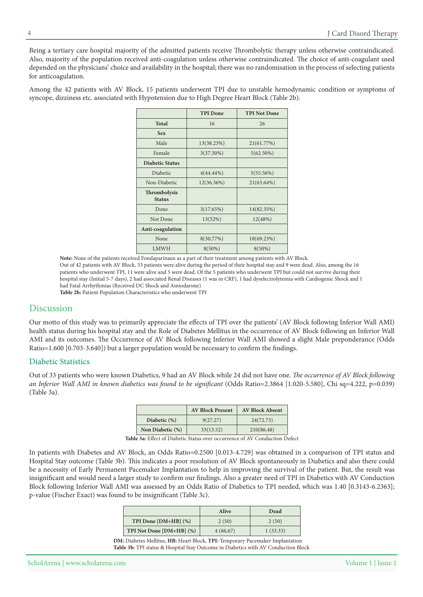Being a tertiary care hospital majority of the admitted patients receive Thrombolytic therapy unless otherwise contraindicated. Also, majority of the population received anti-coagulation unless otherwise contraindicated. The choice of anti-coagulant used depended on the physicians' choice and availability in the hospital; there was no randomisation in the process of selecting patients for anticoagulation.

Among the 42 patients with AV Block, 15 patients underwent TPI due to unstable hemodynamic condition or symptoms of syncope, dizziness etc. associated with Hypotension due to High Degree Heart Block (Table 2b).

|                                      | <b>TPI</b> Done | <b>TPI Not Done</b> |
|--------------------------------------|-----------------|---------------------|
| <b>Total</b>                         | 16              | 26                  |
| <b>Sex</b>                           |                 |                     |
| Male                                 | 13(38.23%)      | 21(61.77%)          |
| Female                               | 3(37.50%)       | $5(62.50\%)$        |
| <b>Diabetic Status</b>               |                 |                     |
| Diabetic                             | $4(44.44\%)$    | 5(55.56%)           |
| Non-Diabetic                         | 12(36.36%)      | 21(63.64%)          |
| <b>Thrombolysis</b><br><b>Status</b> |                 |                     |
| Done                                 | 3(17.65%)       | 14(82.35%)          |
| Not Done                             | 13(52%)         | 12(48%)             |
| Anti-coagulation                     |                 |                     |
| None                                 | 8(30.77%)       | 18(69.23%)          |
| <b>LMWH</b>                          | $8(50\%)$       | $8(50\%)$           |

Note: None of the patients received Fondaparinaux as a part of their treatment among patients with AV Block. Out of 42 patients with AV Block, 33 patients were alive during the period of their hospital stay and 9 were dead. Also, among the 16 patients who underwent TPI, 11 were alive and 5 were dead. Of the 5 patients who underwent TPI but could not survive during their hospital stay (Initial 5-7 days), 2 had associated Renal Diseases (1 was in CRF), 1 had dyselectrolytemia with Cardiogenic Shock and 1 had Fatal Arrhythmias (Received DC Shock and Amiodarone) Table 2b: Patient Population Characteristics who underwent TPI

# Discussion

Our motto of this study was to primarily appreciate the effects of TPI over the patients' (AV Block following Inferior Wall AMI) health status during his hospital stay and the Role of Diabetes Mellitus in the occurrence of AV Block following an Inferior Wall AMI and its outcomes. The Occurrence of AV Block following Inferior Wall AMI showed a slight Male preponderance (Odds Ratio=1.600 [0.703-3.640]) but a larger population would be necessary to confirm the findings.

# Diabetic Statistics

Out of 33 patients who were known Diabetics, 9 had an AV Block while 24 did not have one. The occurrence of AV Block following an Inferior Wall AMI in known diabetics was found to be significant (Odds Ratio=2.3864 [1.020-5.580], Chi sq=4.222, p=0.039)  $(Table 3a)$ .

|                  | <b>AV Block Present</b> | <b>AV Block Absent</b> |
|------------------|-------------------------|------------------------|
| Diabetic $(\%)$  | 9(27.27)                | 24(72.73)              |
| Non Diabetic (%) | 33(13.52)               | 210(86.48)             |

Table 3a: Effect of Diabetic Status over occurrence of AV Conduction Defect

In patients with Diabetes and AV Block, an Odds Ratio=0.2500 [0.013-4.729] was obtained in a comparison of TPI status and Hospital Stay outcome (Table 3b). This indicates a poor resolution of AV Block spontaneously in Diabetics and also there could be a necessity of Early Permanent Pacemaker Implantation to help in improving the survival of the patient. But, the result was insignificant and would need a larger study to confirm our findings. Also a greater need of TPI in Diabetics with AV Conduction Block following Inferior Wall AMI was assessed by an Odds Ratio of Diabetics to TPI needed, which was 1.40 [0.3143-6.2363]; p-value (Fischer Exact) was found to be insignificant (Table 3c).

|                           | <b>Alive</b> | Dead     |
|---------------------------|--------------|----------|
| TPI Done $[DM+HB]$ $(\%)$ | 2(50)        | 2(50)    |
| TPI Not Done [DM+HB] (%)  | 4(66.67)     | 1(33.33) |

**DM**: Diabetes Mellitus, HB: Heart Block, TPI: Temporary Pacemaker Implantation Table 3b: TPI status & Hospital Stay Outcome in Diabetics with AV Conduction Block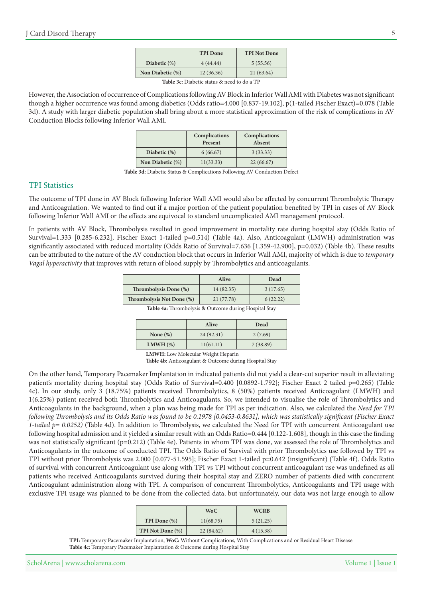|                  | <b>TPI</b> Done | <b>TPI Not Done</b> |
|------------------|-----------------|---------------------|
| Diabetic (%)     | 4(44.44)        | 5(55.56)            |
| Non Diabetic (%) | 12(36.36)       | 21(63.64)           |

Table 3c: Diabetic status & need to do a TF

However, the Association of occurrence of Complications following AV Block in Inferior Wall AMI with Diabetes was not significant though a higher occurrence was found among diabetics (Odds ratio=4.000 [0.837-19.102], p(1-tailed Fischer Exact)=0.078 (Table 3d). A study with larger diabetic population shall bring about a more statistical approximation of the risk of complications in AV Conduction Blocks following Inferior Wall AMI.

|                  | Complications<br>Present | Complications<br>Absent |
|------------------|--------------------------|-------------------------|
| Diabetic $(\%)$  | 6(66.67)                 | 3(33.33)                |
| Non Diabetic (%) | 11(33.33)                | 22(66.67)               |

Table 3d: Diabetic Status & Complications Following AV Conduction Defect

#### **TPI** Statistics

The outcome of TPI done in AV Block following Inferior Wall AMI would also be affected by concurrent Thrombolytic Therapy and Anticoagulation. We wanted to find out if a major portion of the patient population benefited by TPI in cases of AV Block following Inferior Wall AMI or the effects are equivocal to standard uncomplicated AMI management protocol.

In patients with AV Block, Thrombolysis resulted in good improvement in mortality rate during hospital stay (Odds Ratio of Survival=1.333 [0.285-6.232], Fischer Exact 1-tailed p=0.514) (Table 4a). Also, Anticoagulant (LMWH) administration was significantly associated with reduced mortality (Odds Ratio of Survival=7.636 [1.359-42.900],  $p=0.032$ ) (Table 4b). These results can be attributed to the nature of the AV conduction block that occurs in Inferior Wall AMI, majority of which is due to temporary Vagal hyperactivity that improves with return of blood supply by Thrombolytics and anticoagulants.

|                           | Alive      | Dead     |
|---------------------------|------------|----------|
| Thrombolysis Done (%)     | 14 (82.35) | 3(17.65) |
| Thrombolysis Not Done (%) | 21(77.78)  | 6(22.22) |

Table 4a: Thrombolysis & Outcome during Hospital Stay

|               | Alive     | Dead     |
|---------------|-----------|----------|
| None $(\%)$   | 24(92.31) | 2(7.69)  |
| $LMWH$ $(\%)$ | 11(61.11) | 7(38.89) |

**LMWH:** Low Molecular Weight Heparin

Table 4b: Anticoagulant & Outcome during Hospital Stay

On the other hand, Temporary Pacemaker Implantation in indicated patients did not yield a clear-cut superior result in alleviating patient's mortality during hospital stay (Odds Ratio of Survival=0.400 [0.0892-1.792]; Fischer Exact 2 tailed p=0.265) (Table 4c). In our study, only 3 (18.75%) patients received Thrombolytics, 8 (50%) patients received Anticoagulant (LMWH) and 1(6.25%) patient received both Thrombolytics and Anticoagulants. So, we intended to visualise the role of Thrombolytics and Anticoagulants in the background, when a plan was being made for TPI as per indication. Also, we calculated the *Need for TPI following Thrombolysis and its Odds Ratio was found to be 0.1978 [0.0453-0.8631], which was statistically significant (Fischer Exact* 1-tailed  $p = 0.0252$ ) (Table 4d). In addition to Thrombolysis, we calculated the Need for TPI with concurrent Anticoagulant use following hospital admission and it yielded a similar result with an Odds Ratio=0.444 [0.122-1.608], though in this case the finding was not statistically significant (p=0.212) (Table 4e). Patients in whom TPI was done, we assessed the role of Thrombolytics and Anticoagulants in the outcome of conducted TPI. The Odds Ratio of Survival with prior Thrombolytics use followed by TPI vs TPI without prior Thrombolysis was 2.000 [0.077-51.595]; Fischer Exact 1-tailed  $p=0.642$  (insignificant) (Table 4f). Odds Ratio of survival with concurrent Anticoagulant use along with TPI vs TPI without concurrent anticoagulant use was undefined as all patients who received Anticoagulants survived during their hospital stay and ZERO number of patients died with concurrent Anticoagulant administration along with TPI. A comparison of concurrent Thrombolytics, Anticoagulants and TPI usage with exclusive TPI usage was planned to be done from the collected data, but unfortunately, our data was not large enough to allow

|                  | WoC.      | <b>WCRB</b> |
|------------------|-----------|-------------|
| TPI Done $(\%)$  | 11(68.75) | 5(21.25)    |
| TPI Not Done (%) | 22(84.62) | 4(15.38)    |

TPI: Temporary Pacemaker Implantation, WoC: Without Complications, With Complications and or Residual Heart Disease Table 4c: Temporary Pacemaker Implantation & Outcome during Hospital Stay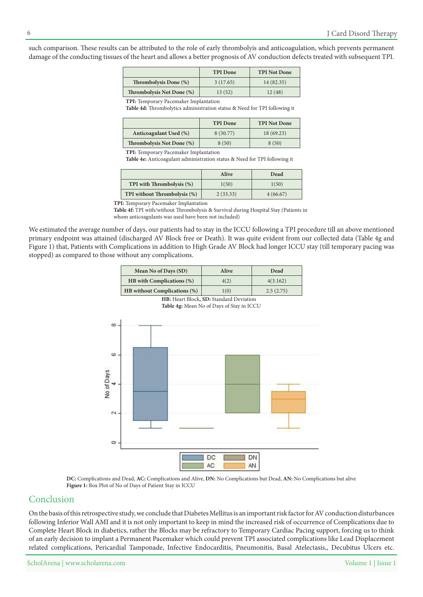such comparison. These results can be attributed to the role of early thrombolyis and anticoagulation, which prevents permanent damage of the conducting tissues of the heart and allows a better prognosis of AV conduction defects treated with subsequent TPI.

|                           | <b>TPI</b> Done | <b>TPI Not Done</b> |
|---------------------------|-----------------|---------------------|
| Thrombolysis Done (%)     | 3(17.65)        | 14(82.35)           |
| Thrombolysis Not Done (%) | 13(52)          | 12(48)              |

**TPI:** Temporary Pacemaker Implantation

Table 4d: Thrombolytics administration status & Need for TPI following it

|                           | <b>TPI</b> Done | <b>TPI Not Done</b> |
|---------------------------|-----------------|---------------------|
| Anticoagulant Used (%)    | 8 (30.77)       | 18(69.23)           |
| Thrombolysis Not Done (%) | 8(50)           | 8(50)               |

**TPI:** Temporary Pacemaker Implantation

Table 4e: Anticoagulant administration status & Need for TPI following it

|                              | <b>Alive</b> | Dead     |
|------------------------------|--------------|----------|
| TPI with Thrombolysis (%)    | 1(50)        | 1(50)    |
| TPI without Thrombolysis (%) | 2(33.33)     | 4(66.67) |

**TPI:** Temporary Pacemaker Implantation

Table 4f: TPI with/without Thrombolysis & Survival during Hospital Stay (Patients in whom anticoagulants was used have been not included)

We estimated the average number of days, our patients had to stay in the ICCU following a TPI procedure till an above mentioned primary endpoint was attained (discharged AV Block free or Death). It was quite evident from our collected data (Table 4g and Figure 1) that, Patients with Complications in addition to High Grade AV Block had longer ICCU stay (till temporary pacing was stopped) as compared to those without any complications.

| Mean No of Days (SD)                    | Alive | Dead      |  |
|-----------------------------------------|-------|-----------|--|
| HB with Complications (%)               | 4(2)  | 4(3.162)  |  |
| <b>HB</b> without Complications (%)     | 1(0)  | 2.5(2.75) |  |
| HB: Heart Block, SD: Standard Deviation |       |           |  |



Table 4g: Mean No of Days of Stay in ICCU

DC: Complications and Dead, AC: Complications and Alive, DN: No Complications but Dead, AN: No Complications but alive Figure 1: Box Plot of No of Days of Patient Stay in ICCU

#### Conclusion

On the basis of this retrospective study, we conclude that Diabetes Mellitus is an important risk factor for AV conduction disturbances following Inferior Wall AMI and it is not only important to keep in mind the increased risk of occurrence of Complications due to Complete Heart Block in diabetics, rather the Blocks may be refractory to Temporary Cardiac Pacing support, forcing us to think of an early decision to implant a Permanent Pacemaker which could prevent TPI associated complications like Lead Displacement related complications, Pericardial Tamponade, Infective Endocarditis, Pneumonitis, Basal Atelectasis,, Decubitus Ulcers etc.